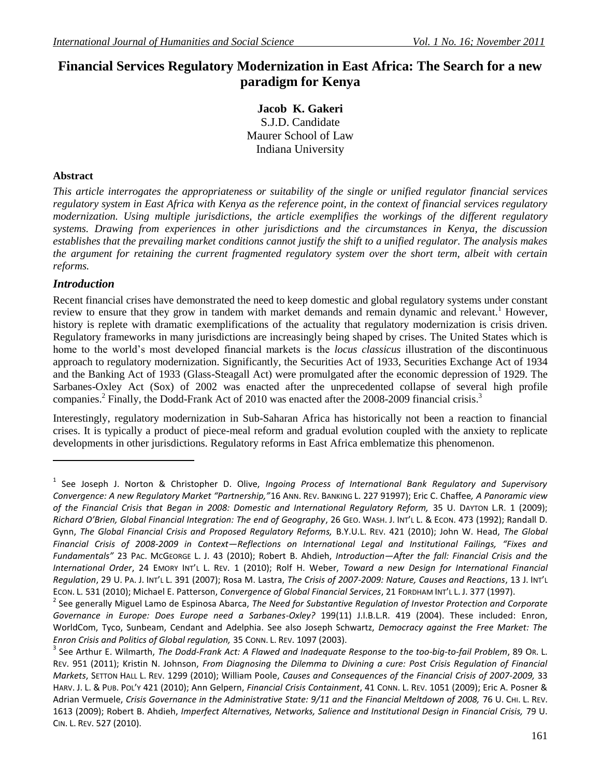# **Financial Services Regulatory Modernization in East Africa: The Search for a new paradigm for Kenya**

**Jacob K. Gakeri** S.J.D. Candidate Maurer School of Law Indiana University

# **Abstract**

*This article interrogates the appropriateness or suitability of the single or unified regulator financial services regulatory system in East Africa with Kenya as the reference point, in the context of financial services regulatory modernization. Using multiple jurisdictions, the article exemplifies the workings of the different regulatory systems. Drawing from experiences in other jurisdictions and the circumstances in Kenya, the discussion establishes that the prevailing market conditions cannot justify the shift to a unified regulator. The analysis makes the argument for retaining the current fragmented regulatory system over the short term, albeit with certain reforms.*

## *Introduction*

Recent financial crises have demonstrated the need to keep domestic and global regulatory systems under constant review to ensure that they grow in tandem with market demands and remain dynamic and relevant.<sup>1</sup> However, history is replete with dramatic exemplifications of the actuality that regulatory modernization is crisis driven. Regulatory frameworks in many jurisdictions are increasingly being shaped by crises. The United States which is home to the world's most developed financial markets is the *locus classicus* illustration of the discontinuous approach to regulatory modernization. Significantly, the Securities Act of 1933, Securities Exchange Act of 1934 and the Banking Act of 1933 (Glass-Steagall Act) were promulgated after the economic depression of 1929. The Sarbanes-Oxley Act (Sox) of 2002 was enacted after the unprecedented collapse of several high profile companies.<sup>2</sup> Finally, the Dodd-Frank Act of 2010 was enacted after the 2008-2009 financial crisis.<sup>3</sup>

Interestingly, regulatory modernization in Sub-Saharan Africa has historically not been a reaction to financial crises. It is typically a product of piece-meal reform and gradual evolution coupled with the anxiety to replicate developments in other jurisdictions. Regulatory reforms in East Africa emblematize this phenomenon.

<sup>1</sup> See Joseph J. Norton & Christopher D. Olive, *Ingoing Process of International Bank Regulatory and Supervisory Convergence: A new Regulatory Market "Partnership,"*16 ANN. REV. BANKING L. 227 91997); Eric C. Chaffee*, A Panoramic view of the Financial Crisis that Began in 2008: Domestic and International Regulatory Reform,* 35 U. DAYTON L.R. 1 (2009); *Richard O'Brien, Global Financial Integration: The end of Geography*, 26 GEO. WASH. J. INT'L L. & ECON. 473 (1992); Randall D. Gynn, *The Global Financial Crisis and Proposed Regulatory Reforms,* B.Y.U.L. REV. 421 (2010); John W. Head, *The Global Financial Crisis of 2008-2009 in Context—Reflections on International Legal and Institutional Failings, "Fixes and Fundamentals"* 23 PAC. MCGEORGE L. J. 43 (2010); Robert B. Ahdieh, *Introduction—After the fall: Financial Crisis and the International Order*, 24 EMORY INT'L L. REV. 1 (2010); Rolf H. Weber, *Toward a new Design for International Financial Regulation*, 29 U. PA. J. INT'L L. 391 (2007); Rosa M. Lastra, *The Crisis of 2007-2009: Nature, Causes and Reactions*, 13 J. INT'L ECON. L. 531 (2010); Michael E. Patterson, *Convergence of Global Financial Services*, 21 FORDHAM INT'L L. J. 377 (1997).

<sup>2</sup> See generally Miguel Lamo de Espinosa Abarca, *The Need for Substantive Regulation of Investor Protection and Corporate Governance in Europe: Does Europe need a Sarbanes-Oxley?* 199(11) J.I.B.L.R. 419 (2004). These included: Enron, WorldCom, Tyco, Sunbeam, Cendant and Adelphia. See also Joseph Schwartz, *Democracy against the Free Market: The Enron Crisis and Politics of Global regulation,* 35 CONN. L. REV. 1097 (2003).

<sup>3</sup> See Arthur E. Wilmarth, *The Dodd-Frank Act: A Flawed and Inadequate Response to the too-big-to-fail Problem*, 89 OR. L. REV. 951 (2011); Kristin N. Johnson, *From Diagnosing the Dilemma to Divining a cure: Post Crisis Regulation of Financial Markets*, SETTON HALL L. REV. 1299 (2010); William Poole, *Causes and Consequences of the Financial Crisis of 2007-2009,* 33 HARV. J. L. & PUB. POL'Y 421 (2010); Ann Gelpern, *Financial Crisis Containment*, 41 CONN. L. REV. 1051 (2009); Eric A. Posner & Adrian Vermuele, *Crisis Governance in the Administrative State: 9/11 and the Financial Meltdown of 2008,* 76 U. CHI. L. REV. 1613 (2009); Robert B. Ahdieh, *Imperfect Alternatives, Networks, Salience and Institutional Design in Financial Crisis,* 79 U. CIN. L. REV. 527 (2010).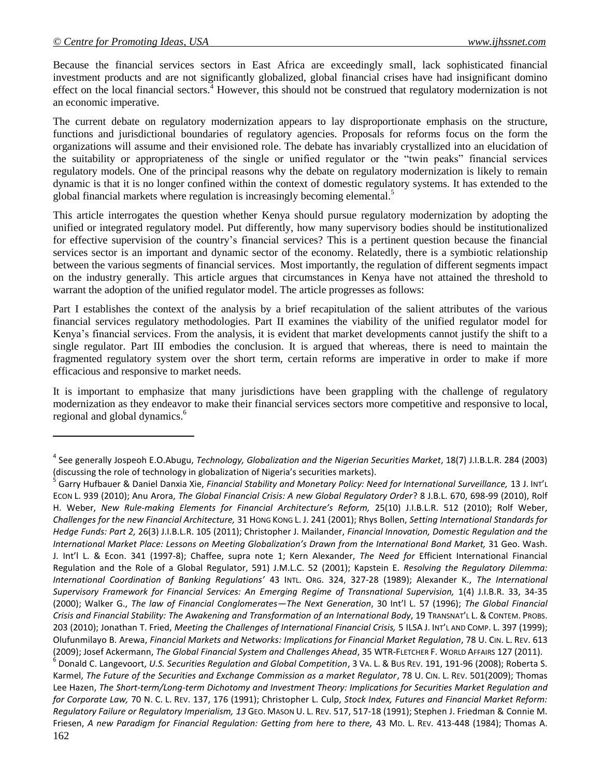Because the financial services sectors in East Africa are exceedingly small, lack sophisticated financial investment products and are not significantly globalized, global financial crises have had insignificant domino effect on the local financial sectors.<sup>4</sup> However, this should not be construed that regulatory modernization is not an economic imperative.

The current debate on regulatory modernization appears to lay disproportionate emphasis on the structure, functions and jurisdictional boundaries of regulatory agencies. Proposals for reforms focus on the form the organizations will assume and their envisioned role. The debate has invariably crystallized into an elucidation of the suitability or appropriateness of the single or unified regulator or the "twin peaks" financial services regulatory models. One of the principal reasons why the debate on regulatory modernization is likely to remain dynamic is that it is no longer confined within the context of domestic regulatory systems. It has extended to the global financial markets where regulation is increasingly becoming elemental.<sup>5</sup>

This article interrogates the question whether Kenya should pursue regulatory modernization by adopting the unified or integrated regulatory model. Put differently, how many supervisory bodies should be institutionalized for effective supervision of the country's financial services? This is a pertinent question because the financial services sector is an important and dynamic sector of the economy. Relatedly, there is a symbiotic relationship between the various segments of financial services. Most importantly, the regulation of different segments impact on the industry generally. This article argues that circumstances in Kenya have not attained the threshold to warrant the adoption of the unified regulator model. The article progresses as follows:

Part I establishes the context of the analysis by a brief recapitulation of the salient attributes of the various financial services regulatory methodologies. Part II examines the viability of the unified regulator model for Kenya's financial services. From the analysis, it is evident that market developments cannot justify the shift to a single regulator. Part III embodies the conclusion. It is argued that whereas, there is need to maintain the fragmented regulatory system over the short term, certain reforms are imperative in order to make if more efficacious and responsive to market needs.

It is important to emphasize that many jurisdictions have been grappling with the challenge of regulatory modernization as they endeavor to make their financial services sectors more competitive and responsive to local, regional and global dynamics.<sup>6</sup>

162 6 Donald C. Langevoort, *U.S. Securities Regulation and Global Competition*, 3 VA. L. & BUS REV. 191, 191-96 (2008); Roberta S. Karmel, *The Future of the Securities and Exchange Commission as a market Regulator*, 78 U. CIN. L. REV. 501(2009); Thomas Lee Hazen, *The Short-term/Long-term Dichotomy and Investment Theory: Implications for Securities Market Regulation and for Corporate Law,* 70 N. C. L. REV. 137, 176 (1991); Christopher L. Culp, *Stock Index, Futures and Financial Market Reform: Regulatory Failure or Regulatory Imperialism, 13* GEO. MASON U. L. REV. 517, 517-18 (1991); Stephen J. Friedman & Connie M. Friesen, *A new Paradigm for Financial Regulation: Getting from here to there,* 43 MD. L. REV. 413-448 (1984); Thomas A.

<sup>4</sup> See generally Jospeoh E.O.Abugu, *Technology, Globalization and the Nigerian Securities Market*, 18(7) J.I.B.L.R. 284 (2003) (discussing the role of technology in globalization of Nigeria's securities markets).

<sup>5</sup> Garry Hufbauer & Daniel Danxia Xie, *Financial Stability and Monetary Policy: Need for International Surveillance,* 13 J. INT'L ECON L. 939 (2010); Anu Arora, *The Global Financial Crisis: A new Global Regulatory Order*? 8 J.B.L. 670, 698-99 (2010), Rolf H. Weber, *New Rule-making Elements for Financial Architecture's Reform,* 25(10) J.I.B.L.R. 512 (2010); Rolf Weber, *Challenges for the new Financial Architecture,* 31 HONG KONG L. J. 241 (2001); Rhys Bollen, *Setting International Standards for Hedge Funds: Part 2,* 26(3) J.I.B.L.R. 105 (2011); Christopher J. Mailander, *Financial Innovation, Domestic Regulation and the International Market Place: Lessons on Meeting Globalization's Drawn from the International Bond Market,* 31 Geo. Wash. J. Int'l L. & Econ. 341 (1997-8); Chaffee, supra note 1; Kern Alexander, *The Need for* Efficient International Financial Regulation and the Role of a Global Regulator, 591) J.M.L.C. 52 (2001); Kapstein E. *Resolving the Regulatory Dilemma: International Coordination of Banking Regulations'* 43 INTL. ORG. 324, 327-28 (1989); Alexander K., *The International Supervisory Framework for Financial Services: An Emerging Regime of Transnational Supervision,* 1(4) J.I.B.R. 33, 34-35 (2000); Walker G., *The law of Financial Conglomerates—The Next Generation*, 30 Int'l L. 57 (1996); *The Global Financial Crisis and Financial Stability: The Awakening and Transformation of an International Body*, 19 TRANSNAT'L L. & CONTEM. PROBS. 203 (2010); Jonathan T. Fried, *Meeting the Challenges of International Financial Crisis,* 5 ILSA J. INT'L AND COMP. L. 397 (1999); Olufunmilayo B. Arewa, *Financial Markets and Networks: Implications for Financial Market Regulation*, 78 U. CIN. L. REV. 613 (2009); Josef Ackermann, *The Global Financial System and Challenges Ahead*, 35 WTR-FLETCHER F. WORLD AFFAIRS 127 (2011).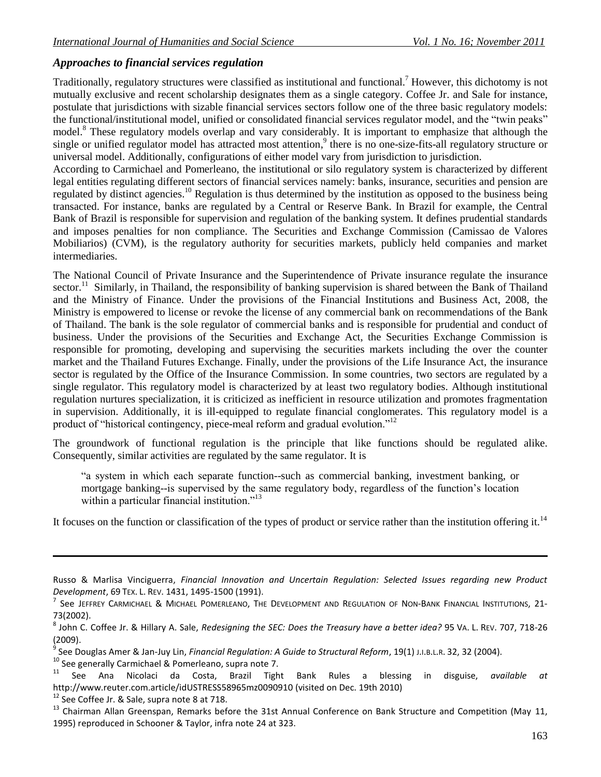# *Approaches to financial services regulation*

Traditionally, regulatory structures were classified as institutional and functional.<sup>7</sup> However, this dichotomy is not mutually exclusive and recent scholarship designates them as a single category. Coffee Jr. and Sale for instance, postulate that jurisdictions with sizable financial services sectors follow one of the three basic regulatory models: the functional/institutional model, unified or consolidated financial services regulator model, and the "twin peaks" model.<sup>8</sup> These regulatory models overlap and vary considerably. It is important to emphasize that although the single or unified regulator model has attracted most attention,<sup>9</sup> there is no one-size-fits-all regulatory structure or universal model. Additionally, configurations of either model vary from jurisdiction to jurisdiction.

According to Carmichael and Pomerleano, the institutional or silo regulatory system is characterized by different legal entities regulating different sectors of financial services namely: banks, insurance, securities and pension are regulated by distinct agencies.<sup>10</sup> Regulation is thus determined by the institution as opposed to the business being transacted. For instance, banks are regulated by a Central or Reserve Bank. In Brazil for example, the Central Bank of Brazil is responsible for supervision and regulation of the banking system. It defines prudential standards and imposes penalties for non compliance. The Securities and Exchange Commission (Camissao de Valores Mobiliarios) (CVM), is the regulatory authority for securities markets, publicly held companies and market intermediaries.

The National Council of Private Insurance and the Superintendence of Private insurance regulate the insurance sector.<sup>11</sup> Similarly, in Thailand, the responsibility of banking supervision is shared between the Bank of Thailand and the Ministry of Finance. Under the provisions of the Financial Institutions and Business Act, 2008, the Ministry is empowered to license or revoke the license of any commercial bank on recommendations of the Bank of Thailand. The bank is the sole regulator of commercial banks and is responsible for prudential and conduct of business. Under the provisions of the Securities and Exchange Act, the Securities Exchange Commission is responsible for promoting, developing and supervising the securities markets including the over the counter market and the Thailand Futures Exchange. Finally, under the provisions of the Life Insurance Act, the insurance sector is regulated by the Office of the Insurance Commission. In some countries, two sectors are regulated by a single regulator. This regulatory model is characterized by at least two regulatory bodies. Although institutional regulation nurtures specialization, it is criticized as inefficient in resource utilization and promotes fragmentation in supervision. Additionally, it is ill-equipped to regulate financial conglomerates. This regulatory model is a product of "historical contingency, piece-meal reform and gradual evolution."<sup>12</sup>

The groundwork of functional regulation is the principle that like functions should be regulated alike. Consequently, similar activities are regulated by the same regulator. It is

"a system in which each separate function--such as commercial banking, investment banking, or mortgage banking--is supervised by the same regulatory body, regardless of the function's location within a particular financial institution."<sup>13</sup>

It focuses on the function or classification of the types of product or service rather than the institution offering it.<sup>14</sup>

9 See Douglas Amer & Jan-Juy Lin, *Financial Regulation: A Guide to Structural Reform*, 19(1) J.I.B.L.R. 32, 32 (2004).

<sup>10</sup> See generally Carmichael & Pomerleano, supra note 7.

- <sup>11</sup> See Ana Nicolaci da Costa, Brazil Tight Bank Rules a blessing in disguise, *available at*  <http://www.reuter.com.article/idUSTRESS58965mz0090910> (visited on Dec. 19th 2010)
- <sup>12</sup> See Coffee Jr. & Sale, supra note 8 at 718.

13 Chairman Allan Greenspan, Remarks before the 31st Annual Conference on Bank Structure and Competition (May 11, 1995) reproduced in Schooner & Taylor, infra note 24 at 323.

Russo & Marlisa Vinciguerra, *Financial Innovation and Uncertain Regulation: Selected Issues regarding new Product Development*, 69 TEX. L. REV. 1431, 1495-1500 (1991).

 $^7$  See Jeffrey Carmichael & Michael Pomerleano, The Development and Regulation of Non-Bank Financial Institutions, 21-73(2002).

<sup>8</sup> John C. Coffee Jr. & Hillary A. Sale, *Redesigning the SEC: Does the Treasury have a better idea?* 95 VA. L. REV. 707, 718-26 (2009).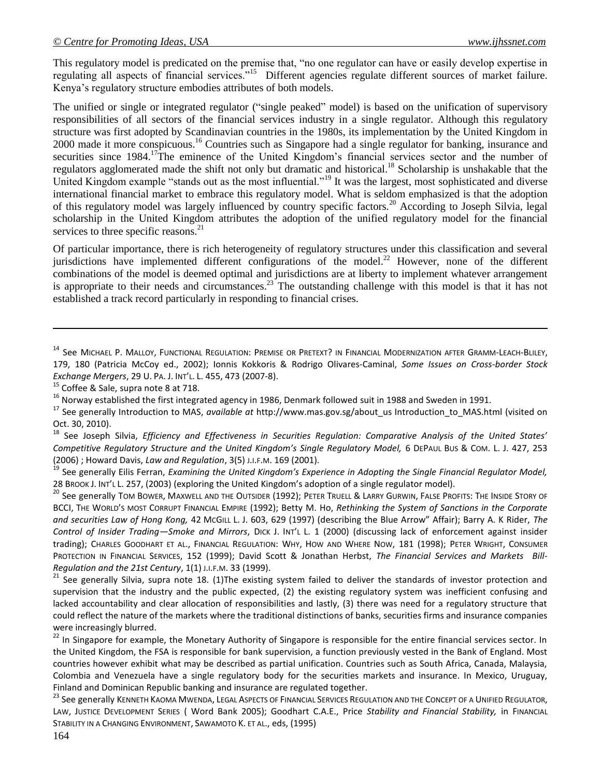This regulatory model is predicated on the premise that, "no one regulator can have or easily develop expertise in regulating all aspects of financial services."<sup>15</sup> Different agencies regulate different sources of market failure. Kenya's regulatory structure embodies attributes of both models.

The unified or single or integrated regulator ("single peaked" model) is based on the unification of supervisory responsibilities of all sectors of the financial services industry in a single regulator. Although this regulatory structure was first adopted by Scandinavian countries in the 1980s, its implementation by the United Kingdom in 2000 made it more conspicuous.<sup>16</sup> Countries such as Singapore had a single regulator for banking, insurance and securities since 1984.<sup>17</sup>The eminence of the United Kingdom's financial services sector and the number of regulators agglomerated made the shift not only but dramatic and historical.<sup>18</sup> Scholarship is unshakable that the United Kingdom example "stands out as the most influential."<sup>19</sup> It was the largest, most sophisticated and diverse international financial market to embrace this regulatory model. What is seldom emphasized is that the adoption of this regulatory model was largely influenced by country specific factors.<sup>20</sup> According to Joseph Silvia, legal scholarship in the United Kingdom attributes the adoption of the unified regulatory model for the financial services to three specific reasons.<sup>21</sup>

Of particular importance, there is rich heterogeneity of regulatory structures under this classification and several jurisdictions have implemented different configurations of the model.<sup>22</sup> However, none of the different combinations of the model is deemed optimal and jurisdictions are at liberty to implement whatever arrangement is appropriate to their needs and circumstances.<sup>23</sup> The outstanding challenge with this model is that it has not established a track record particularly in responding to financial crises.

<sup>15</sup> Coffee & Sale, supra note 8 at 718.

<sup>16</sup> Norway established the first integrated agency in 1986, Denmark followed suit in 1988 and Sweden in 1991.

<sup>18</sup> See Joseph Silvia, *Efficiency and Effectiveness in Securities Regulation: Comparative Analysis of the United States' Competitive Regulatory Structure and the United Kingdom's Single Regulatory Model,* 6 DEPAUL BUS & COM. L. J. 427, 253 (2006) ; Howard Davis, *Law and Regulation*, 3(5) J.I.F.M. 169 (2001).

<sup>19</sup> See generally Eilis Ferran, *Examining the United Kingdom's Experience in Adopting the Single Financial Regulator Model,* 28 BROOK J. INT'L L. 257, (2003) (exploring the United Kingdom's adoption of a single regulator model).

<sup>20</sup> See generally TOM BOWER, MAXWELL AND THE OUTSIDER (1992); PETER TRUELL & LARRY GURWIN, FALSE PROFITS: THE INSIDE STORY OF BCCI, THE WORLD'S MOST CORRUPT FINANCIAL EMPIRE (1992); Betty M. Ho, *Rethinking the System of Sanctions in the Corporate and securities Law of Hong Kong,* 42 MCGILL L. J. 603, 629 (1997) (describing the Blue Arrow" Affair); Barry A. K Rider, *The Control of Insider Trading—Smoke and Mirrors*, DICK J. INT'L L. 1 (2000) (discussing lack of enforcement against insider trading); CHARLES GOODHART ET AL., FINANCIAL REGULATION: WHY, HOW AND WHERE NOW, 181 (1998); PETER WRIGHT, CONSUMER PROTECTION IN FINANCIAL SERVICES, 152 (1999); David Scott & Jonathan Herbst, *The Financial Services and Markets Bill-Regulation and the 21st Century*, 1(1) J.I.F.M. 33 (1999).

 $21$  See generally Silvia, supra note 18. (1)The existing system failed to deliver the standards of investor protection and supervision that the industry and the public expected, (2) the existing regulatory system was inefficient confusing and lacked accountability and clear allocation of responsibilities and lastly, (3) there was need for a regulatory structure that could reflect the nature of the markets where the traditional distinctions of banks, securities firms and insurance companies were increasingly blurred.

<sup>22</sup> In Singapore for example, the Monetary Authority of Singapore is responsible for the entire financial services sector. In the United Kingdom, the FSA is responsible for bank supervision, a function previously vested in the Bank of England. Most countries however exhibit what may be described as partial unification. Countries such as South Africa, Canada, Malaysia, Colombia and Venezuela have a single regulatory body for the securities markets and insurance. In Mexico, Uruguay, Finland and Dominican Republic banking and insurance are regulated together.

<sup>23</sup> See generally KENNETH KAOMA MWENDA, LEGAL ASPECTS OF FINANCIAL SERVICES REGULATION AND THE CONCEPT OF A UNIFIED REGULATOR, LAW, JUSTICE DEVELOPMENT SERIES ( Word Bank 2005); Goodhart C.A.E., Price *Stability and Financial Stability,* in FINANCIAL STABILITY IN A CHANGING ENVIRONMENT, SAWAMOTO K. ET AL., eds, (1995)

<sup>&</sup>lt;sup>14</sup> See MICHAEL P. MALLOY, FUNCTIONAL REGULATION: PREMISE OR PRETEXT? IN FINANCIAL MODERNIZATION AFTER GRAMM-LEACH-BLILEY, 179, 180 (Patricia McCoy ed., 2002); Ionnis Kokkoris & Rodrigo Olivares-Caminal, *Some Issues on Cross-border Stock Exchange Mergers*, 29 U. PA. J. INT'L. L. 455, 473 (2007-8).

<sup>&</sup>lt;sup>17</sup> See generally Introduction to MAS, *available at* http://www.mas.gov.sg/about us Introduction to MAS.html (visited on Oct. 30, 2010).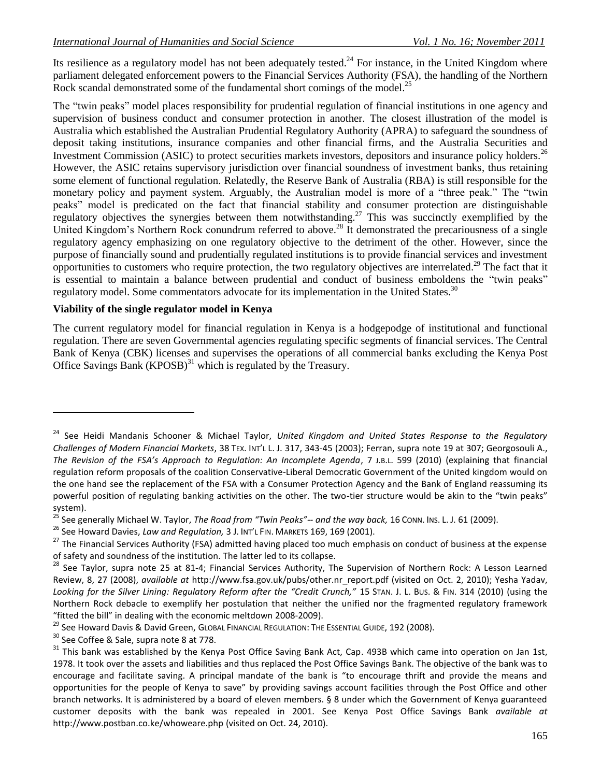Its resilience as a regulatory model has not been adequately tested.<sup>24</sup> For instance, in the United Kingdom where parliament delegated enforcement powers to the Financial Services Authority (FSA), the handling of the Northern Rock scandal demonstrated some of the fundamental short comings of the model.<sup>25</sup>

The "twin peaks" model places responsibility for prudential regulation of financial institutions in one agency and supervision of business conduct and consumer protection in another. The closest illustration of the model is Australia which established the Australian Prudential Regulatory Authority (APRA) to safeguard the soundness of deposit taking institutions, insurance companies and other financial firms, and the Australia Securities and Investment Commission (ASIC) to protect securities markets investors, depositors and insurance policy holders.<sup>26</sup> However, the ASIC retains supervisory jurisdiction over financial soundness of investment banks, thus retaining some element of functional regulation. Relatedly, the Reserve Bank of Australia (RBA) is still responsible for the monetary policy and payment system. Arguably, the Australian model is more of a "three peak." The "twin peaks" model is predicated on the fact that financial stability and consumer protection are distinguishable regulatory objectives the synergies between them notwithstanding.<sup>27</sup> This was succinctly exemplified by the United Kingdom's Northern Rock conundrum referred to above.<sup>28</sup> It demonstrated the precariousness of a single regulatory agency emphasizing on one regulatory objective to the detriment of the other. However, since the purpose of financially sound and prudentially regulated institutions is to provide financial services and investment opportunities to customers who require protection, the two regulatory objectives are interrelated.<sup>29</sup> The fact that it is essential to maintain a balance between prudential and conduct of business emboldens the "twin peaks" regulatory model. Some commentators advocate for its implementation in the United States.<sup>30</sup>

#### **Viability of the single regulator model in Kenya**

The current regulatory model for financial regulation in Kenya is a hodgepodge of institutional and functional regulation. There are seven Governmental agencies regulating specific segments of financial services. The Central Bank of Kenya (CBK) licenses and supervises the operations of all commercial banks excluding the Kenya Post Office Savings Bank  $(KPOSB)^{31}$  which is regulated by the Treasury.

<sup>24</sup> See Heidi Mandanis Schooner & Michael Taylor, *United Kingdom and United States Response to the Regulatory Challenges of Modern Financial Markets*, 38 TEX. INT'L L. J. 317, 343-45 (2003); Ferran, supra note 19 at 307; Georgosouli A., *The Revision of the FSA's Approach to Regulation: An Incomplete Agenda*, 7 J.B.L. 599 (2010) (explaining that financial regulation reform proposals of the coalition Conservative-Liberal Democratic Government of the United kingdom would on the one hand see the replacement of the FSA with a Consumer Protection Agency and the Bank of England reassuming its powerful position of regulating banking activities on the other. The two-tier structure would be akin to the "twin peaks" system).

<sup>25</sup> See generally Michael W. Taylor, *The Road from "Twin Peaks"-- and the way back,* 16 CONN. INS. L. J. 61 (2009).

<sup>26</sup> See Howard Davies, *Law and Regulation,* 3 J. INT'L FIN. MARKETS 169, 169 (2001).

<sup>&</sup>lt;sup>27</sup> The Financial Services Authority (FSA) admitted having placed too much emphasis on conduct of business at the expense of safety and soundness of the institution. The latter led to its collapse.

<sup>&</sup>lt;sup>28</sup> See Tavlor, supra note 25 at 81-4; Financial Services Authority, The Supervision of Northern Rock: A Lesson Learned Review, 8, 27 (2008), *available at* [http://www.fsa.gov.uk/pubs/other.nr\\_report.pdf](http://www.fsa.gov.uk/pubs/other.nr_report.pdf) (visited on Oct. 2, 2010); Yesha Yadav, *Looking for the Silver Lining: Regulatory Reform after the "Credit Crunch,"* 15 STAN. J. L. BUS. & FIN. 314 (2010) (using the Northern Rock debacle to exemplify her postulation that neither the unified nor the fragmented regulatory framework "fitted the bill" in dealing with the economic meltdown 2008-2009).

<sup>&</sup>lt;sup>29</sup> See Howard Davis & David Green, GLOBAL FINANCIAL REGULATION: THE ESSENTIAL GUIDE, 192 (2008).

<sup>&</sup>lt;sup>30</sup> See Coffee & Sale, supra note 8 at 778.

 $31$  This bank was established by the Kenya Post Office Saving Bank Act, Cap. 493B which came into operation on Jan 1st, 1978. It took over the assets and liabilities and thus replaced the Post Office Savings Bank. The objective of the bank was to encourage and facilitate saving. A principal mandate of the bank is "to encourage thrift and provide the means and opportunities for the people of Kenya to save" by providing savings account facilities through the Post Office and other branch networks. It is administered by a board of eleven members. § 8 under which the Government of Kenya guaranteed customer deposits with the bank was repealed in 2001. See Kenya Post Office Savings Bank *available at*  <http://www.postban.co.ke/whoweare.php> (visited on Oct. 24, 2010).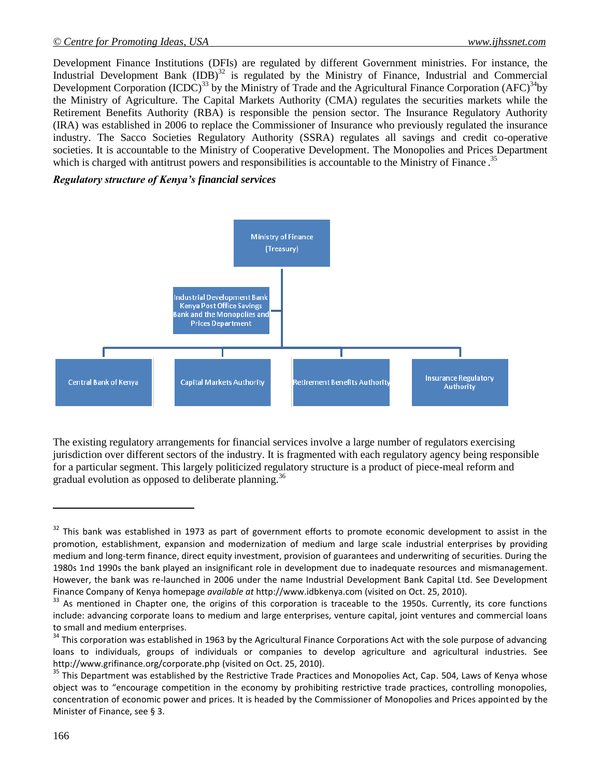Development Finance Institutions (DFIs) are regulated by different Government ministries. For instance, the Industrial Development Bank  $(IDB)^{32}$  is regulated by the Ministry of Finance, Industrial and Commercial Development Corporation  $(ICDC)^{33}$  by the Ministry of Trade and the Agricultural Finance Corporation  $(AFC)^{34}$ by the Ministry of Agriculture. The Capital Markets Authority (CMA) regulates the securities markets while the Retirement Benefits Authority (RBA) is responsible the pension sector. The Insurance Regulatory Authority (IRA) was established in 2006 to replace the Commissioner of Insurance who previously regulated the insurance industry. The Sacco Societies Regulatory Authority (SSRA) regulates all savings and credit co-operative societies. It is accountable to the Ministry of Cooperative Development. The Monopolies and Prices Department which is charged with antitrust powers and responsibilities is accountable to the Ministry of Finance.<sup>35</sup>

### *Regulatory structure of Kenya's financial services*



The existing regulatory arrangements for financial services involve a large number of regulators exercising jurisdiction over different sectors of the industry. It is fragmented with each regulatory agency being responsible for a particular segment. This largely politicized regulatory structure is a product of piece-meal reform and gradual evolution as opposed to deliberate planning.<sup>36</sup>

 $32$  This bank was established in 1973 as part of government efforts to promote economic development to assist in the promotion, establishment, expansion and modernization of medium and large scale industrial enterprises by providing medium and long-term finance, direct equity investment, provision of guarantees and underwriting of securities. During the 1980s 1nd 1990s the bank played an insignificant role in development due to inadequate resources and mismanagement. However, the bank was re-launched in 2006 under the name Industrial Development Bank Capital Ltd. See Development Finance Company of Kenya homepage *available at* [http://www.idbkenya.com](http://www.idbkenya.com/) (visited on Oct. 25, 2010).

<sup>&</sup>lt;sup>33</sup> As mentioned in Chapter one, the origins of this corporation is traceable to the 1950s. Currently, its core functions include: advancing corporate loans to medium and large enterprises, venture capital, joint ventures and commercial loans to small and medium enterprises.

<sup>&</sup>lt;sup>34</sup> This corporation was established in 1963 by the Agricultural Finance Corporations Act with the sole purpose of advancing loans to individuals, groups of individuals or companies to develop agriculture and agricultural industries. See <http://www.grifinance.org/corporate.php> (visited on Oct. 25, 2010).

<sup>&</sup>lt;sup>35</sup> This Department was established by the Restrictive Trade Practices and Monopolies Act, Cap. 504, Laws of Kenya whose object was to "encourage competition in the economy by prohibiting restrictive trade practices, controlling monopolies, concentration of economic power and prices. It is headed by the Commissioner of Monopolies and Prices appointed by the Minister of Finance, see § 3.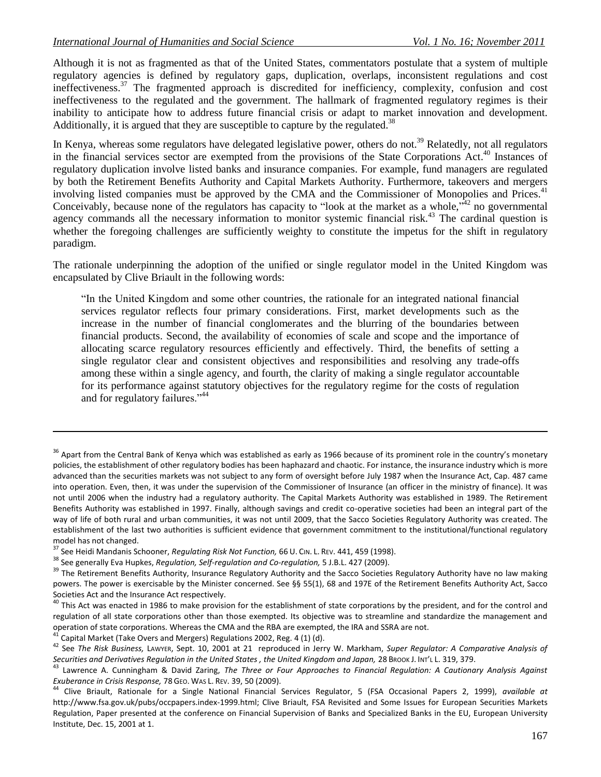Although it is not as fragmented as that of the United States, commentators postulate that a system of multiple regulatory agencies is defined by regulatory gaps, duplication, overlaps, inconsistent regulations and cost ineffectiveness.<sup>37</sup> The fragmented approach is discredited for inefficiency, complexity, confusion and cost ineffectiveness to the regulated and the government. The hallmark of fragmented regulatory regimes is their inability to anticipate how to address future financial crisis or adapt to market innovation and development. Additionally, it is argued that they are susceptible to capture by the regulated.<sup>38</sup>

In Kenya, whereas some regulators have delegated legislative power, others do not.<sup>39</sup> Relatedly, not all regulators in the financial services sector are exempted from the provisions of the State Corporations Act. <sup>40</sup> Instances of regulatory duplication involve listed banks and insurance companies. For example, fund managers are regulated by both the Retirement Benefits Authority and Capital Markets Authority. Furthermore, takeovers and mergers involving listed companies must be approved by the CMA and the Commissioner of Monopolies and Prices.<sup>41</sup> Conceivably, because none of the regulators has capacity to "look at the market as a whole,"<sup>42</sup> no governmental agency commands all the necessary information to monitor systemic financial risk.<sup>43</sup> The cardinal question is whether the foregoing challenges are sufficiently weighty to constitute the impetus for the shift in regulatory paradigm.

The rationale underpinning the adoption of the unified or single regulator model in the United Kingdom was encapsulated by Clive Briault in the following words:

"In the United Kingdom and some other countries, the rationale for an integrated national financial services regulator reflects four primary considerations. First, market developments such as the increase in the number of financial conglomerates and the blurring of the boundaries between financial products. Second, the availability of economies of scale and scope and the importance of allocating scarce regulatory resources efficiently and effectively. Third, the benefits of setting a single regulator clear and consistent objectives and responsibilities and resolving any trade-offs among these within a single agency, and fourth, the clarity of making a single regulator accountable for its performance against statutory objectives for the regulatory regime for the costs of regulation and for regulatory failures."<sup>44</sup>

 $41$  Capital Market (Take Overs and Mergers) Regulations 2002, Reg. 4 (1) (d).

 $36$  Apart from the Central Bank of Kenya which was established as early as 1966 because of its prominent role in the country's monetary policies, the establishment of other regulatory bodies has been haphazard and chaotic. For instance, the insurance industry which is more advanced than the securities markets was not subject to any form of oversight before July 1987 when the Insurance Act, Cap. 487 came into operation. Even, then, it was under the supervision of the Commissioner of Insurance (an officer in the ministry of finance). It was not until 2006 when the industry had a regulatory authority. The Capital Markets Authority was established in 1989. The Retirement Benefits Authority was established in 1997. Finally, although savings and credit co-operative societies had been an integral part of the way of life of both rural and urban communities, it was not until 2009, that the Sacco Societies Regulatory Authority was created. The establishment of the last two authorities is sufficient evidence that government commitment to the institutional/functional regulatory model has not changed.

<sup>37</sup> See Heidi Mandanis Schooner, *Regulating Risk Not Function,* 66 U. CIN. L. REV. 441, 459 (1998).

<sup>38</sup> See generally Eva Hupkes, *Regulation, Self-regulation and Co-regulation,* 5 J.B.L. 427 (2009).

<sup>&</sup>lt;sup>39</sup> The Retirement Benefits Authority, Insurance Regulatory Authority and the Sacco Societies Regulatory Authority have no law making powers. The power is exercisable by the Minister concerned. See §§ 55(1), 68 and 197E of the Retirement Benefits Authority Act, Sacco Societies Act and the Insurance Act respectively.

<sup>&</sup>lt;sup>40</sup> This Act was enacted in 1986 to make provision for the establishment of state corporations by the president, and for the control and regulation of all state corporations other than those exempted. Its objective was to streamline and standardize the management and operation of state corporations. Whereas the CMA and the RBA are exempted, the IRA and SSRA are not.

<sup>42</sup> See *The Risk Business,* LAWYER, Sept. 10, 2001 at 21 reproduced in Jerry W. Markham, *Super Regulator: A Comparative Analysis of Securities and Derivatives Regulation in the United States , the United Kingdom and Japan,* 28 BROOK J. INT'L L. 319, 379.

<sup>43</sup> Lawrence A. Cunningham & David Zaring, *The Three or Four Approaches to Financial Regulation: A Cautionary Analysis Against Exuberance in Crisis Response,* 78 GEO. WAS L. REV. 39, 50 (2009).

<sup>44</sup> Clive Briault, Rationale for a Single National Financial Services Regulator, 5 (FSA Occasional Papers 2, 1999), *available at* [http://www.fsa.gov.uk/pubs/occpapers.index-1999.html;](http://www.fsa.gov.uk/pubs/occpapers.index-1999.html) Clive Briault, FSA Revisited and Some Issues for European Securities Markets Regulation, Paper presented at the conference on Financial Supervision of Banks and Specialized Banks in the EU, European University Institute, Dec. 15, 2001 at 1.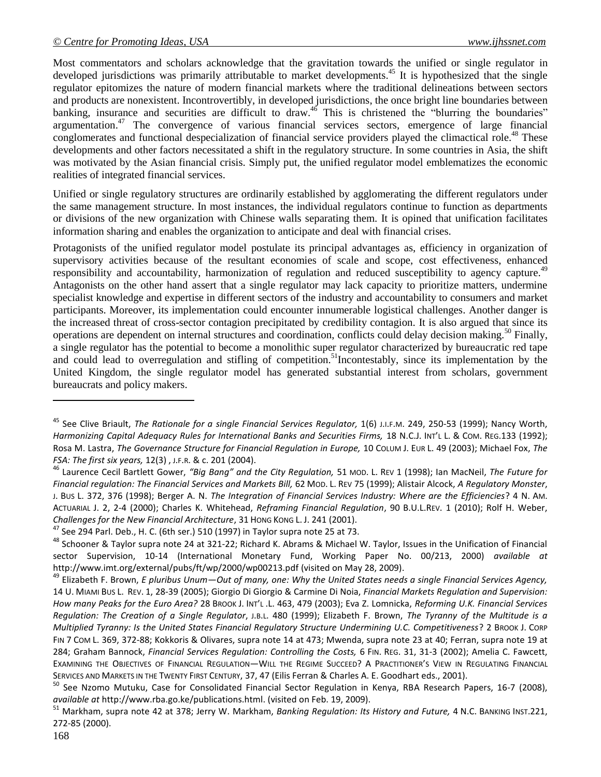Most commentators and scholars acknowledge that the gravitation towards the unified or single regulator in developed jurisdictions was primarily attributable to market developments.<sup>45</sup> It is hypothesized that the single regulator epitomizes the nature of modern financial markets where the traditional delineations between sectors and products are nonexistent. Incontrovertibly, in developed jurisdictions, the once bright line boundaries between banking, insurance and securities are difficult to draw.<sup>46</sup> This is christened the "blurring the boundaries" argumentation.<sup>47</sup> The convergence of various financial services sectors, emergence of large financial conglomerates and functional despecialization of financial service providers played the climactical role.<sup>48</sup> These developments and other factors necessitated a shift in the regulatory structure. In some countries in Asia, the shift was motivated by the Asian financial crisis. Simply put, the unified regulator model emblematizes the economic realities of integrated financial services.

Unified or single regulatory structures are ordinarily established by agglomerating the different regulators under the same management structure. In most instances, the individual regulators continue to function as departments or divisions of the new organization with Chinese walls separating them. It is opined that unification facilitates information sharing and enables the organization to anticipate and deal with financial crises.

Protagonists of the unified regulator model postulate its principal advantages as, efficiency in organization of supervisory activities because of the resultant economies of scale and scope, cost effectiveness, enhanced responsibility and accountability, harmonization of regulation and reduced susceptibility to agency capture.<sup>49</sup> Antagonists on the other hand assert that a single regulator may lack capacity to prioritize matters, undermine specialist knowledge and expertise in different sectors of the industry and accountability to consumers and market participants. Moreover, its implementation could encounter innumerable logistical challenges. Another danger is the increased threat of cross-sector contagion precipitated by credibility contagion. It is also argued that since its operations are dependent on internal structures and coordination, conflicts could delay decision making.<sup>50</sup> Finally, a single regulator has the potential to become a monolithic super regulator characterized by bureaucratic red tape and could lead to overregulation and stifling of competition.<sup>51</sup>Incontestably, since its implementation by the United Kingdom, the single regulator model has generated substantial interest from scholars, government bureaucrats and policy makers.

<sup>45</sup> See Clive Briault, *The Rationale for a single Financial Services Regulator,* 1(6) J.I.F.M. 249, 250-53 (1999); Nancy Worth, *Harmonizing Capital Adequacy Rules for International Banks and Securities Firms,* 18 N.C.J. INT'L L. & COM. REG.133 (1992); Rosa M. Lastra, *The Governance Structure for Financial Regulation in Europe,* 10 COLUM J. EUR L. 49 (2003); Michael Fox, *The FSA: The first six years,* 12(3) , J.F.R. & c. 201 (2004).

<sup>46</sup> Laurence Cecil Bartlett Gower, *"Big Bang" and the City Regulation,* 51 MOD. L. REV 1 (1998); Ian MacNeil, *The Future for Financial regulation: The Financial Services and Markets Bill,* 62 MOD. L. REV 75 (1999); Alistair Alcock, *A Regulatory Monster*, J. BUS L. 372, 376 (1998); Berger A. N. *The Integration of Financial Services Industry: Where are the Efficiencies*? 4 N. AM. ACTUARIAL J. 2, 2-4 (2000); Charles K. Whitehead, *Reframing Financial Regulation*, 90 B.U.L.REV. 1 (2010); Rolf H. Weber, *Challenges for the New Financial Architecture*, 31 HONG KONG L. J. 241 (2001).

<sup>&</sup>lt;sup>47</sup> See 294 Parl. Deb., H. C. (6th ser.) 510 (1997) in Taylor supra note 25 at 73.

<sup>48</sup> Schooner & Taylor supra note 24 at 321-22; Richard K. Abrams & Michael W. Taylor, Issues in the Unification of Financial sector Supervision, 10-14 (International Monetary Fund, Working Paper No. 00/213, 2000) *available at*  <http://www.imt.org/external/pubs/ft/wp/2000/wp00213.pdf> (visited on May 28, 2009).

<sup>49</sup> Elizabeth F. Brown, *E pluribus Unum—Out of many, one: Why the United States needs a single Financial Services Agency,*  14 U. MIAMI BUS L. REV. 1, 28-39 (2005); Giorgio Di Giorgio & Carmine Di Noia, *Financial Markets Regulation and Supervision: How many Peaks for the Euro Area?* 28 BROOK J. INT'L .L. 463, 479 (2003); Eva Z. Lomnicka, *Reforming U.K. Financial Services Regulation: The Creation of a Single Regulator*, J.B.L. 480 (1999); Elizabeth F. Brown, *The Tyranny of the Multitude is a Multiplied Tyranny: Is the United States Financial Regulatory Structure Undermining U.C. Competitiveness*? 2 BROOK J. CORP FIN 7 COM L. 369, 372-88; Kokkoris & Olivares, supra note 14 at 473; Mwenda, supra note 23 at 40; Ferran, supra note 19 at 284; Graham Bannock, *Financial Services Regulation: Controlling the Costs,* 6 FIN. REG. 31, 31-3 (2002); Amelia C. Fawcett, EXAMINING THE OBJECTIVES OF FINANCIAL REGULATION—WILL THE REGIME SUCCEED? A PRACTITIONER'S VIEW IN REGULATING FINANCIAL SERVICES AND MARKETS IN THE TWENTY FIRST CENTURY, 37, 47 (Eilis Ferran & Charles A. E. Goodhart eds., 2001).

<sup>50</sup> See Nzomo Mutuku, Case for Consolidated Financial Sector Regulation in Kenya, RBA Research Papers, 16-7 (2008), *available at* [http://www.rba.go.ke/publications.html.](http://www.rba.go.ke/publications.html) (visited on Feb. 19, 2009).

<sup>51</sup> Markham, supra note 42 at 378; Jerry W. Markham, *Banking Regulation: Its History and Future,* 4 N.C. BANKING INST.221, 272-85 (2000).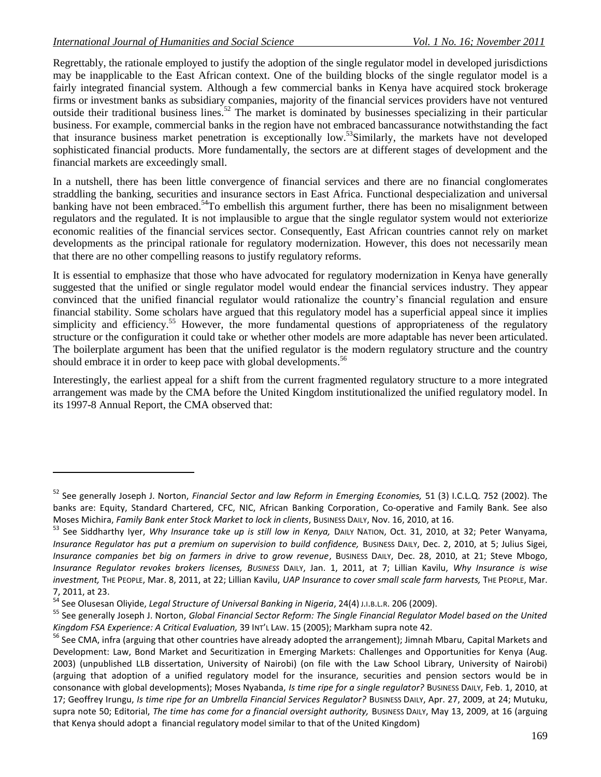Regrettably, the rationale employed to justify the adoption of the single regulator model in developed jurisdictions may be inapplicable to the East African context. One of the building blocks of the single regulator model is a fairly integrated financial system. Although a few commercial banks in Kenya have acquired stock brokerage firms or investment banks as subsidiary companies, majority of the financial services providers have not ventured outside their traditional business lines.<sup>52</sup> The market is dominated by businesses specializing in their particular business. For example, commercial banks in the region have not embraced bancassurance notwithstanding the fact that insurance business market penetration is exceptionally low.<sup>53</sup>Similarly, the markets have not developed sophisticated financial products. More fundamentally, the sectors are at different stages of development and the financial markets are exceedingly small.

In a nutshell, there has been little convergence of financial services and there are no financial conglomerates straddling the banking, securities and insurance sectors in East Africa. Functional despecialization and universal banking have not been embraced.<sup>54</sup>To embellish this argument further, there has been no misalignment between regulators and the regulated. It is not implausible to argue that the single regulator system would not exteriorize economic realities of the financial services sector. Consequently, East African countries cannot rely on market developments as the principal rationale for regulatory modernization. However, this does not necessarily mean that there are no other compelling reasons to justify regulatory reforms.

It is essential to emphasize that those who have advocated for regulatory modernization in Kenya have generally suggested that the unified or single regulator model would endear the financial services industry. They appear convinced that the unified financial regulator would rationalize the country's financial regulation and ensure financial stability. Some scholars have argued that this regulatory model has a superficial appeal since it implies simplicity and efficiency.<sup>55</sup> However, the more fundamental questions of appropriateness of the regulatory structure or the configuration it could take or whether other models are more adaptable has never been articulated. The boilerplate argument has been that the unified regulator is the modern regulatory structure and the country should embrace it in order to keep pace with global developments.<sup>56</sup>

Interestingly, the earliest appeal for a shift from the current fragmented regulatory structure to a more integrated arrangement was made by the CMA before the United Kingdom institutionalized the unified regulatory model. In its 1997-8 Annual Report, the CMA observed that:

<sup>52</sup> See generally Joseph J. Norton, *Financial Sector and law Reform in Emerging Economies,* 51 (3) I.C.L.Q. 752 (2002). The banks are: Equity, Standard Chartered, CFC, NIC, African Banking Corporation, Co-operative and Family Bank. See also Moses Michira, *Family Bank enter Stock Market to lock in clients*, BUSINESS DAILY, Nov. 16, 2010, at 16.

<sup>&</sup>lt;sup>53</sup> See Siddharthy Iyer, *Why Insurance take up is still low in Kenya, DAILY NATION, Oct. 31, 2010, at 32; Peter Wanyama, Insurance Regulator has put a premium on supervision to build confidence,* BUSINESS DAILY, Dec. 2, 2010, at 5; Julius Sigei, *Insurance companies bet big on farmers in drive to grow revenue*, BUSINESS DAILY, Dec. 28, 2010, at 21; Steve Mbogo, *Insurance Regulator revokes brokers licenses, BUSINESS* DAILY, Jan. 1, 2011, at 7; Lillian Kavilu, *Why Insurance is wise investment,* THE PEOPLE, Mar. 8, 2011, at 22; Lillian Kavilu, *UAP Insurance to cover small scale farm harvests,* THE PEOPLE, Mar. 7, 2011, at 23.

<sup>54</sup> See Olusesan Oliyide, *Legal Structure of Universal Banking in Nigeria*, 24(4) <sup>J</sup>.I.B.L.R. 206 (2009).

<sup>55</sup> See generally Joseph J. Norton, *Global Financial Sector Reform: The Single Financial Regulator Model based on the United Kingdom FSA Experience: A Critical Evaluation,* 39 INT'L LAW. 15 (2005); Markham supra note 42.

<sup>&</sup>lt;sup>56</sup> See CMA, infra (arguing that other countries have already adopted the arrangement); Jimnah Mbaru, Capital Markets and Development: Law, Bond Market and Securitization in Emerging Markets: Challenges and Opportunities for Kenya (Aug. 2003) (unpublished LLB dissertation, University of Nairobi) (on file with the Law School Library, University of Nairobi) (arguing that adoption of a unified regulatory model for the insurance, securities and pension sectors would be in consonance with global developments); Moses Nyabanda, *Is time ripe for a single regulator?* BUSINESS DAILY, Feb. 1, 2010, at 17; Geoffrey Irungu, *Is time ripe for an Umbrella Financial Services Regulator?* BUSINESS DAILY, Apr. 27, 2009, at 24; Mutuku, supra note 50; Editorial, *The time has come for a financial oversight authority,* BUSINESS DAILY, May 13, 2009, at 16 (arguing that Kenya should adopt a financial regulatory model similar to that of the United Kingdom)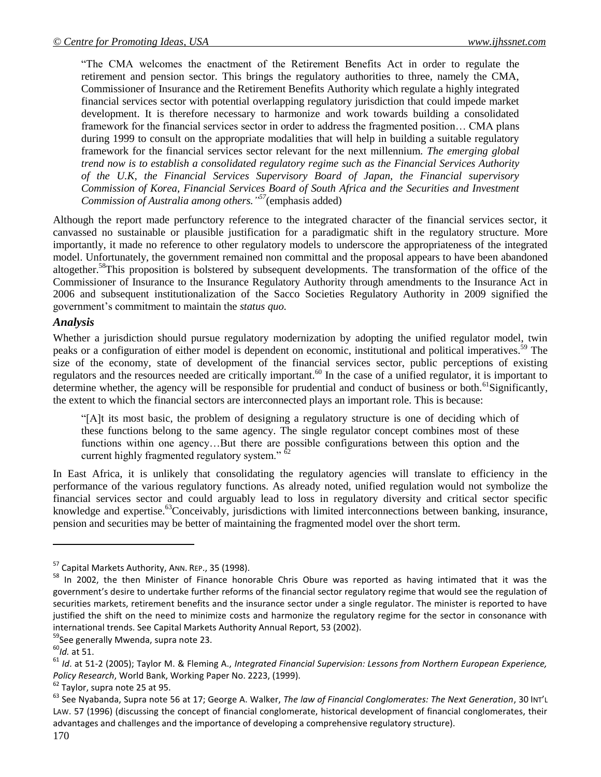"The CMA welcomes the enactment of the Retirement Benefits Act in order to regulate the retirement and pension sector. This brings the regulatory authorities to three, namely the CMA, Commissioner of Insurance and the Retirement Benefits Authority which regulate a highly integrated financial services sector with potential overlapping regulatory jurisdiction that could impede market development. It is therefore necessary to harmonize and work towards building a consolidated framework for the financial services sector in order to address the fragmented position… CMA plans during 1999 to consult on the appropriate modalities that will help in building a suitable regulatory framework for the financial services sector relevant for the next millennium. *The emerging global trend now is to establish a consolidated regulatory regime such as the Financial Services Authority of the U.K, the Financial Services Supervisory Board of Japan, the Financial supervisory Commission of Korea, Financial Services Board of South Africa and the Securities and Investment Commission of Australia among others." <sup>57</sup>*(emphasis added)

Although the report made perfunctory reference to the integrated character of the financial services sector, it canvassed no sustainable or plausible justification for a paradigmatic shift in the regulatory structure. More importantly, it made no reference to other regulatory models to underscore the appropriateness of the integrated model. Unfortunately, the government remained non committal and the proposal appears to have been abandoned altogether.<sup>58</sup>This proposition is bolstered by subsequent developments. The transformation of the office of the Commissioner of Insurance to the Insurance Regulatory Authority through amendments to the Insurance Act in 2006 and subsequent institutionalization of the Sacco Societies Regulatory Authority in 2009 signified the government's commitment to maintain the *status quo.*

### *Analysis*

Whether a jurisdiction should pursue regulatory modernization by adopting the unified regulator model, twin peaks or a configuration of either model is dependent on economic, institutional and political imperatives.<sup>59</sup> The size of the economy, state of development of the financial services sector, public perceptions of existing regulators and the resources needed are critically important.<sup>60</sup> In the case of a unified regulator, it is important to determine whether, the agency will be responsible for prudential and conduct of business or both.<sup>61</sup>Significantly, the extent to which the financial sectors are interconnected plays an important role. This is because:

"[A]t its most basic, the problem of designing a regulatory structure is one of deciding which of these functions belong to the same agency. The single regulator concept combines most of these functions within one agency…But there are possible configurations between this option and the current highly fragmented regulatory system."  $\frac{62}{62}$ 

In East Africa, it is unlikely that consolidating the regulatory agencies will translate to efficiency in the performance of the various regulatory functions. As already noted, unified regulation would not symbolize the financial services sector and could arguably lead to loss in regulatory diversity and critical sector specific knowledge and expertise.<sup>63</sup>Conceivably, jurisdictions with limited interconnections between banking, insurance, pension and securities may be better of maintaining the fragmented model over the short term.

<sup>&</sup>lt;sup>57</sup> Capital Markets Authority, ANN. REP., 35 (1998).

<sup>&</sup>lt;sup>58</sup> In 2002, the then Minister of Finance honorable Chris Obure was reported as having intimated that it was the government's desire to undertake further reforms of the financial sector regulatory regime that would see the regulation of securities markets, retirement benefits and the insurance sector under a single regulator. The minister is reported to have justified the shift on the need to minimize costs and harmonize the regulatory regime for the sector in consonance with international trends. See Capital Markets Authority Annual Report, 53 (2002).

<sup>59</sup>See generally Mwenda, supra note 23.

<sup>60</sup>*Id.* at 51.

<sup>61</sup> *Id*. at 51-2 (2005); Taylor M. & Fleming A., *Integrated Financial Supervision: Lessons from Northern European Experience, Policy Research*, World Bank, Working Paper No. 2223, (1999).

 $62$  Taylor, supra note 25 at 95.

<sup>63</sup> See Nyabanda, Supra note 56 at 17; George A. Walker, *The law of Financial Conglomerates: The Next Generation*, 30 INT'<sup>L</sup> LAW. 57 (1996) (discussing the concept of financial conglomerate, historical development of financial conglomerates, their advantages and challenges and the importance of developing a comprehensive regulatory structure).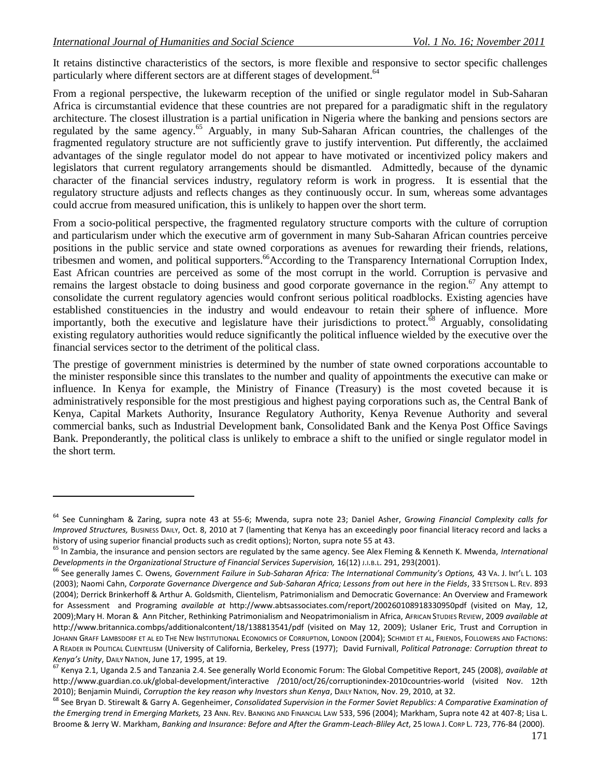It retains distinctive characteristics of the sectors, is more flexible and responsive to sector specific challenges particularly where different sectors are at different stages of development.<sup>64</sup>

From a regional perspective, the lukewarm reception of the unified or single regulator model in Sub-Saharan Africa is circumstantial evidence that these countries are not prepared for a paradigmatic shift in the regulatory architecture. The closest illustration is a partial unification in Nigeria where the banking and pensions sectors are regulated by the same agency.<sup>65</sup> Arguably, in many Sub-Saharan African countries, the challenges of the fragmented regulatory structure are not sufficiently grave to justify intervention. Put differently, the acclaimed advantages of the single regulator model do not appear to have motivated or incentivized policy makers and legislators that current regulatory arrangements should be dismantled. Admittedly, because of the dynamic character of the financial services industry, regulatory reform is work in progress. It is essential that the regulatory structure adjusts and reflects changes as they continuously occur. In sum, whereas some advantages could accrue from measured unification, this is unlikely to happen over the short term.

From a socio-political perspective, the fragmented regulatory structure comports with the culture of corruption and particularism under which the executive arm of government in many Sub-Saharan African countries perceive positions in the public service and state owned corporations as avenues for rewarding their friends, relations, tribesmen and women, and political supporters.<sup>66</sup>According to the Transparency International Corruption Index, East African countries are perceived as some of the most corrupt in the world. Corruption is pervasive and remains the largest obstacle to doing business and good corporate governance in the region.<sup>67</sup> Any attempt to consolidate the current regulatory agencies would confront serious political roadblocks. Existing agencies have established constituencies in the industry and would endeavour to retain their sphere of influence. More importantly, both the executive and legislature have their jurisdictions to protect.<sup>68</sup> Arguably, consolidating existing regulatory authorities would reduce significantly the political influence wielded by the executive over the financial services sector to the detriment of the political class.

The prestige of government ministries is determined by the number of state owned corporations accountable to the minister responsible since this translates to the number and quality of appointments the executive can make or influence. In Kenya for example, the Ministry of Finance (Treasury) is the most coveted because it is administratively responsible for the most prestigious and highest paying corporations such as, the Central Bank of Kenya, Capital Markets Authority, Insurance Regulatory Authority, Kenya Revenue Authority and several commercial banks, such as Industrial Development bank, Consolidated Bank and the Kenya Post Office Savings Bank. Preponderantly, the political class is unlikely to embrace a shift to the unified or single regulator model in the short term.

<sup>64</sup> See Cunningham & Zaring, supra note 43 at 55-6; Mwenda, supra note 23; Daniel Asher, G*rowing Financial Complexity calls for Improved Structures,* BUSINESS DAILY, Oct. 8, 2010 at 7 (lamenting that Kenya has an exceedingly poor financial literacy record and lacks a history of using superior financial products such as credit options); Norton, supra note 55 at 43.

<sup>65</sup> In Zambia, the insurance and pension sectors are regulated by the same agency. See Alex Fleming & Kenneth K. Mwenda, *International Developments in the Organizational Structure of Financial Services Supervision,* 16(12) J.I.B.L. 291, 293(2001).

<sup>66</sup> See generally James C. Owens, *Government Failure in Sub-Saharan Africa: The International Community's Options,* 43 VA. J. INT'L L. 103 (2003); Naomi Cahn, *Corporate Governance Divergence and Sub-Saharan Africa; Lessons from out here in the Fields*, 33 STETSON L. REV. 893 (2004); Derrick Brinkerhoff & Arthur A. Goldsmith, Clientelism, Patrimonialism and Democratic Governance: An Overview and Framework for Assessment and Programing *available at* <http://www.abtsassociates.com/report/200260108918330950pdf> (visited on May, 12, 2009);Mary H. Moran & Ann Pitcher, Rethinking Patrimonialism and Neopatrimonialism in Africa, AFRICAN STUDIES REVIEW, 2009 *available at* <http://www.britannica.combps/additionalcontent/18/138813541/pdf> (visited on May 12, 2009); Uslaner Eric, Trust and Corruption in JOHANN GRAFF LAMBSDORF ET AL ED THE NEW INSTITUTIONAL ECONOMICS OF CORRUPTION, LONDON (2004); SCHMIDT ET AL, FRIENDS, FOLLOWERS AND FACTIONS: A READER IN POLITICAL CLIENTELISM (University of California, Berkeley, Press (1977); David Furnivall, *Political Patronage: Corruption threat to Kenya's Unity*, DAILY NATION, June 17, 1995, at 19.

<sup>67</sup> Kenya 2.1, Uganda 2.5 and Tanzania 2.4. See generally World Economic Forum: The Global Competitive Report, 245 (2008), *available at* [http://www.guardian.co.uk/global-development/interactive /2010/oct/26/corruptionindex-2010countries-world \(visited Nov. 12th](http://www.guardian.co.uk/global-development/interactive%20/2010/oct/26/corruptionindex-2010countries-world%20(visited%20Nov.%2012th%202010)  [2010\)](http://www.guardian.co.uk/global-development/interactive%20/2010/oct/26/corruptionindex-2010countries-world%20(visited%20Nov.%2012th%202010); Benjamin Muindi, *Corruption the key reason why Investors shun Kenya*, DAILY NATION, Nov. 29, 2010, at 32.

<sup>68</sup> See Bryan D. Stirewalt & Garry A. Gegenheimer, *Consolidated Supervision in the Former Soviet Republics: A Comparative Examination of the Emerging trend in Emerging Markets,* 23 ANN. REV. BANKING AND FINANCIAL LAW 533, 596 (2004); Markham, Supra note 42 at 407-8; Lisa L. Broome & Jerry W. Markham, *Banking and Insurance: Before and After the Gramm-Leach-Bliley Act*, 25 IOWA J. CORP L. 723, 776-84 (2000).